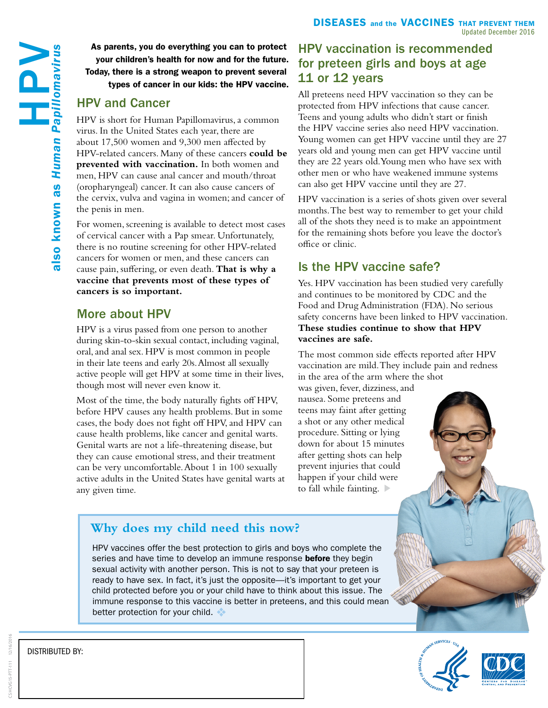As parents, you do everything you can to protect your children's health for now and for the future. Today, there is a strong weapon to prevent several types of cancer in our kids: the HPV vaccine.

## HPV and Cancer

HPV is short for Human Papillomavirus, a common virus. In the United States each year, there are about 17,500 women and 9,300 men affected by HPV-related cancers. Many of these cancers **could be prevented with vaccination.** In both women and men, HPV can cause anal cancer and mouth/throat (oropharyngeal) cancer. It can also cause cancers of the cervix, vulva and vagina in women; and cancer of the penis in men.

For women, screening is available to detect most cases of cervical cancer with a Pap smear. Unfortunately, there is no routine screening for other HPV-related cancers for women or men, and these cancers can cause pain, suffering, or even death. **That is why a vaccine that prevents most of these types of cancers is so important.** 

## More about HPV

HPV is a virus passed from one person to another during skin-to-skin sexual contact, including vaginal, oral, and anal sex. HPV is most common in people in their late teens and early 20s. Almost all sexually active people will get HPV at some time in their lives, though most will never even know it.

Most of the time, the body naturally fights off HPV, before HPV causes any health problems. But in some cases, the body does not fight off HPV, and HPV can cause health problems, like cancer and genital warts. Genital warts are not a life-threatening disease, but they can cause emotional stress, and their treatment can be very uncomfortable. About 1 in 100 sexually active adults in the United States have genital warts at any given time.

## HPV vaccination is recommended for preteen girls and boys at age 11 or 12 years

All preteens need HPV vaccination so they can be protected from HPV infections that cause cancer. Teens and young adults who didn't start or finish the HPV vaccine series also need HPV vaccination. Young women can get HPV vaccine until they are 27 years old and young men can get HPV vaccine until they are 22 years old. Young men who have sex with other men or who have weakened immune systems can also get HPV vaccine until they are 27.

HPV vaccination is a series of shots given over several months. The best way to remember to get your child all of the shots they need is to make an appointment for the remaining shots before you leave the doctor's office or clinic.

# Is the HPV vaccine safe?

Yes. HPV vaccination has been studied very carefully and continues to be monitored by CDC and the Food and Drug Administration (FDA). No serious safety concerns have been linked to HPV vaccination. **These studies continue to show that HPV vaccines are safe.** 

The most common side effects reported after HPV vaccination are mild. They include pain and redness in the area of the arm where the shot

was given, fever, dizziness, and nausea. Some preteens and teens may faint after getting a shot or any other medical procedure. Sitting or lying down for about 15 minutes after getting shots can help prevent injuries that could happen if your child were to fall while fainting.

### **Why does my child need this now?**

HPV vaccines offer the best protection to girls and boys who complete the series and have time to develop an immune response **before** they begin sexual activity with another person. This is not to say that your preteen is ready to have sex. In fact, it's just the opposite—it's important to get your child protected before you or your child have to think about this issue. The immune response to this vaccine is better in preteens, and this could mean better protection for your child.





CS HCVG15-PTT-111 12/16/2016 HCVG15-PTT-111 12/16/201